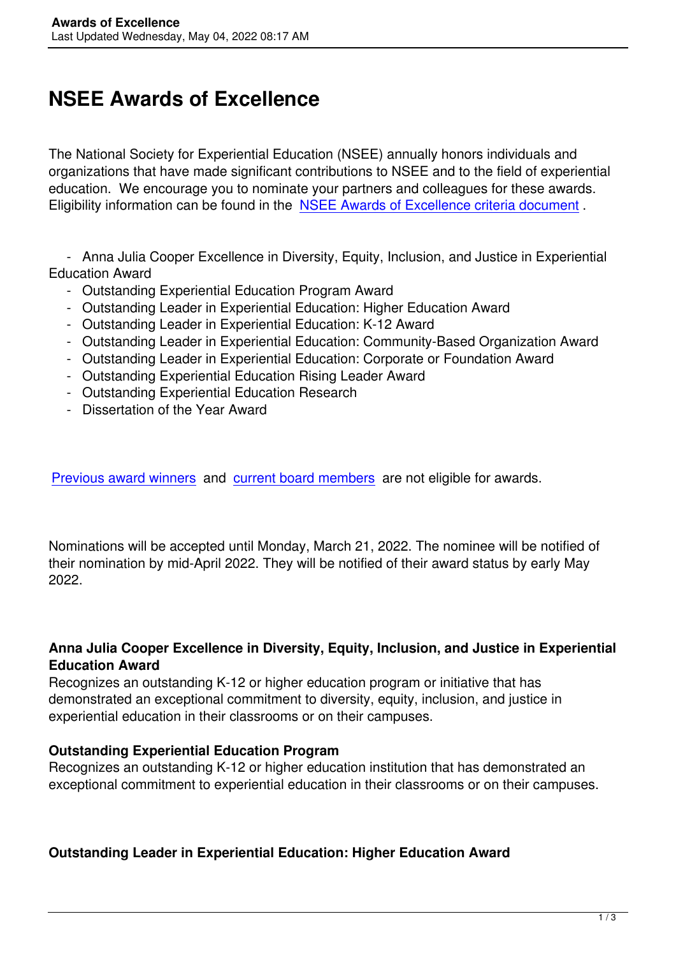# **NSEE Awards of Excellence**

The National Society for Experiential Education (NSEE) annually honors individuals and organizations that have made significant contributions to NSEE and to the field of experiential education. We encourage you to nominate your partners and colleagues for these awards. Eligibility information can be found in the NSEE Awards of Excellence criteria document .

 - Anna Julia Cooper Excellence in Di[versity, Equity, Inclusion, and Justice in Experie](/assets/GeneralAwards/2022%20NSEE%20Awards%20of%20Excellence%20Criteria.pdf)ntial Education Award

- Outstanding Experiential Education Program Award
- Outstanding Leader in Experiential Education: Higher Education Award
- Outstanding Leader in Experiential Education: K-12 Award
- Outstanding Leader in Experiential Education: Community-Based Organization Award
- Outstanding Leader in Experiential Education: Corporate or Foundation Award
- Outstanding Experiential Education Rising Leader Award
- Outstanding Experiential Education Research
- Dissertation of the Year Award

Previous award winners and current board members are not eligible for awards.

[Nominations will be acce](https://nsee.memberclicks.net/previous-award-winners)pted [until Monday, March 21,](https://nsee.memberclicks.net/board) 2022. The nominee will be notified of their nomination by mid-April 2022. They will be notified of their award status by early May 2022.

#### **Anna Julia Cooper Excellence in Diversity, Equity, Inclusion, and Justice in Experiential Education Award**

Recognizes an outstanding K-12 or higher education program or initiative that has demonstrated an exceptional commitment to diversity, equity, inclusion, and justice in experiential education in their classrooms or on their campuses.

#### **Outstanding Experiential Education Program**

Recognizes an outstanding K-12 or higher education institution that has demonstrated an exceptional commitment to experiential education in their classrooms or on their campuses.

## **Outstanding Leader in Experiential Education: Higher Education Award**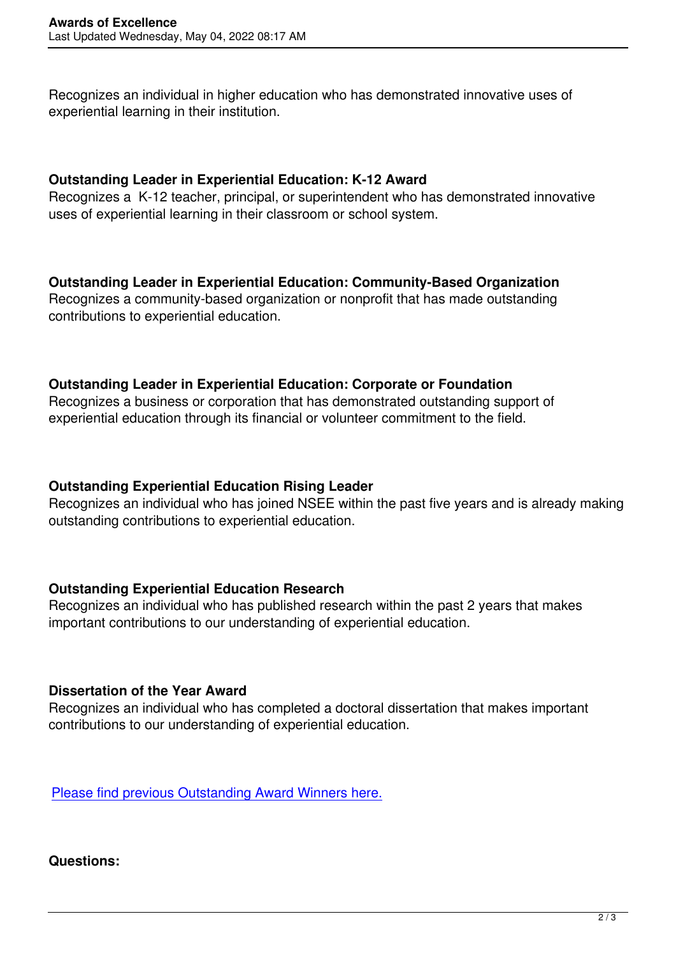Recognizes an individual in higher education who has demonstrated innovative uses of experiential learning in their institution.

#### **Outstanding Leader in Experiential Education: K-12 Award**

Recognizes a K-12 teacher, principal, or superintendent who has demonstrated innovative uses of experiential learning in their classroom or school system.

### **Outstanding Leader in Experiential Education: Community-Based Organization**

Recognizes a community-based organization or nonprofit that has made outstanding contributions to experiential education.

#### **Outstanding Leader in Experiential Education: Corporate or Foundation**

Recognizes a business or corporation that has demonstrated outstanding support of experiential education through its financial or volunteer commitment to the field.

#### **Outstanding Experiential Education Rising Leader**

Recognizes an individual who has joined NSEE within the past five years and is already making outstanding contributions to experiential education.

#### **Outstanding Experiential Education Research**

Recognizes an individual who has published research within the past 2 years that makes important contributions to our understanding of experiential education.

#### **Dissertation of the Year Award**

Recognizes an individual who has completed a doctoral dissertation that makes important contributions to our understanding of experiential education.

Please find previous Outstanding Award Winners here.

#### **[Questions:](https://nsee.memberclicks.net/previous-award-winners)**